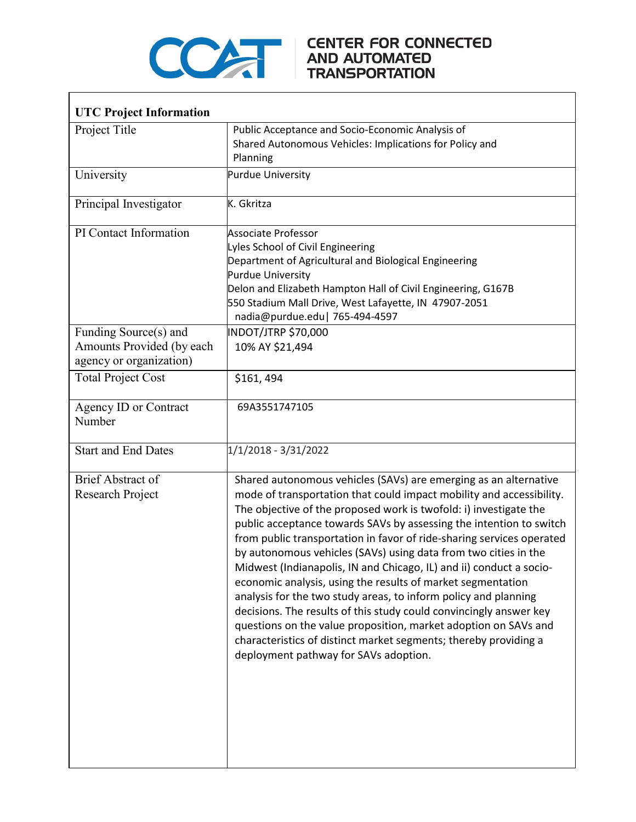

 $\Gamma$ 

## COMPARE CENTER FOR CONNECTED

٦

| <b>UTC Project Information</b>                                                |                                                                                                                                                                                                                                                                                                                                                                                                                                                                                                                                                                                                                                                                                                                                                                                                                                                                                                 |
|-------------------------------------------------------------------------------|-------------------------------------------------------------------------------------------------------------------------------------------------------------------------------------------------------------------------------------------------------------------------------------------------------------------------------------------------------------------------------------------------------------------------------------------------------------------------------------------------------------------------------------------------------------------------------------------------------------------------------------------------------------------------------------------------------------------------------------------------------------------------------------------------------------------------------------------------------------------------------------------------|
| Project Title                                                                 | Public Acceptance and Socio-Economic Analysis of<br>Shared Autonomous Vehicles: Implications for Policy and<br>Planning                                                                                                                                                                                                                                                                                                                                                                                                                                                                                                                                                                                                                                                                                                                                                                         |
| University                                                                    | <b>Purdue University</b>                                                                                                                                                                                                                                                                                                                                                                                                                                                                                                                                                                                                                                                                                                                                                                                                                                                                        |
| Principal Investigator                                                        | K. Gkritza                                                                                                                                                                                                                                                                                                                                                                                                                                                                                                                                                                                                                                                                                                                                                                                                                                                                                      |
| PI Contact Information                                                        | Associate Professor<br>Lyles School of Civil Engineering<br>Department of Agricultural and Biological Engineering<br><b>Purdue University</b><br>Delon and Elizabeth Hampton Hall of Civil Engineering, G167B<br>550 Stadium Mall Drive, West Lafayette, IN 47907-2051<br>nadia@purdue.edu   765-494-4597                                                                                                                                                                                                                                                                                                                                                                                                                                                                                                                                                                                       |
| Funding Source(s) and<br>Amounts Provided (by each<br>agency or organization) | INDOT/JTRP \$70,000<br>10% AY \$21,494                                                                                                                                                                                                                                                                                                                                                                                                                                                                                                                                                                                                                                                                                                                                                                                                                                                          |
| <b>Total Project Cost</b>                                                     | \$161,494                                                                                                                                                                                                                                                                                                                                                                                                                                                                                                                                                                                                                                                                                                                                                                                                                                                                                       |
| Agency ID or Contract<br>Number                                               | 69A3551747105                                                                                                                                                                                                                                                                                                                                                                                                                                                                                                                                                                                                                                                                                                                                                                                                                                                                                   |
| <b>Start and End Dates</b>                                                    | 1/1/2018 - 3/31/2022                                                                                                                                                                                                                                                                                                                                                                                                                                                                                                                                                                                                                                                                                                                                                                                                                                                                            |
| <b>Brief Abstract of</b><br>Research Project                                  | Shared autonomous vehicles (SAVs) are emerging as an alternative<br>mode of transportation that could impact mobility and accessibility.<br>The objective of the proposed work is twofold: i) investigate the<br>public acceptance towards SAVs by assessing the intention to switch<br>from public transportation in favor of ride-sharing services operated<br>by autonomous vehicles (SAVs) using data from two cities in the<br>Midwest (Indianapolis, IN and Chicago, IL) and ii) conduct a socio-<br>economic analysis, using the results of market segmentation<br>analysis for the two study areas, to inform policy and planning<br>decisions. The results of this study could convincingly answer key<br>questions on the value proposition, market adoption on SAVs and<br>characteristics of distinct market segments; thereby providing a<br>deployment pathway for SAVs adoption. |